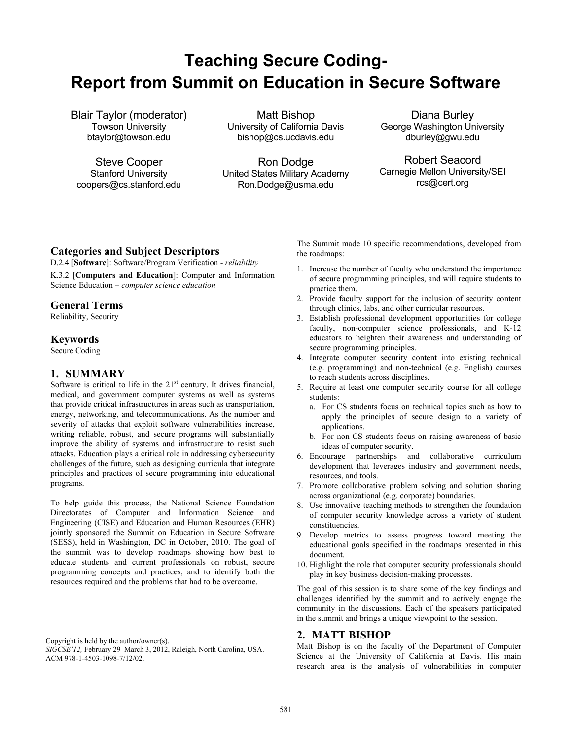# **Teaching Secure Coding-Report from Summit on Education in Secure Software**

Blair Taylor (moderator) Towson University btaylor@towson.edu

Steve Cooper Stanford University coopers@cs.stanford.edu

Matt Bishop University of California Davis bishop@cs.ucdavis.edu

Ron Dodge United States Military Academy Ron.Dodge@usma.edu

Diana Burley George Washington University dburley@gwu.edu

Robert Seacord Carnegie Mellon University/SEI rcs@cert.org

## **Categories and Subject Descriptors**

D.2.4 [**Software**]: Software/Program Verification - *reliability*

K.3.2 [**Computers and Education**]: Computer and Information Science Education – *computer science education* 

## **General Terms**

Reliability, Security

### **Keywords**

Secure Coding

# **1. SUMMARY**

Software is critical to life in the  $21<sup>st</sup>$  century. It drives financial, medical, and government computer systems as well as systems that provide critical infrastructures in areas such as transportation, energy, networking, and telecommunications. As the number and severity of attacks that exploit software vulnerabilities increase, writing reliable, robust, and secure programs will substantially improve the ability of systems and infrastructure to resist such attacks. Education plays a critical role in addressing cybersecurity challenges of the future, such as designing curricula that integrate principles and practices of secure programming into educational programs.

To help guide this process, the National Science Foundation Directorates of Computer and Information Science and Engineering (CISE) and Education and Human Resources (EHR) jointly sponsored the Summit on Education in Secure Software (SESS), held in Washington, DC in October, 2010. The goal of the summit was to develop roadmaps showing how best to educate students and current professionals on robust, secure programming concepts and practices, and to identify both the resources required and the problems that had to be overcome.

Copyright is held by the author/owner(s).

*SIGCSE'12,* February 29–March 3, 2012, Raleigh, North Carolina, USA. ACM 978-1-4503-1098-7/12/02.

The Summit made 10 specific recommendations, developed from the roadmaps:

- 1. Increase the number of faculty who understand the importance of secure programming principles, and will require students to practice them.
- 2. Provide faculty support for the inclusion of security content through clinics, labs, and other curricular resources.
- 3. Establish professional development opportunities for college faculty, non-computer science professionals, and K-12 educators to heighten their awareness and understanding of secure programming principles.
- 4. Integrate computer security content into existing technical (e.g. programming) and non-technical (e.g. English) courses to reach students across disciplines.
- 5. Require at least one computer security course for all college students:
	- a. For CS students focus on technical topics such as how to apply the principles of secure design to a variety of applications.
	- b. For non-CS students focus on raising awareness of basic ideas of computer security.
- 6. Encourage partnerships and collaborative curriculum development that leverages industry and government needs, resources, and tools.
- 7. Promote collaborative problem solving and solution sharing across organizational (e.g. corporate) boundaries.
- 8. Use innovative teaching methods to strengthen the foundation of computer security knowledge across a variety of student constituencies.
- 9. Develop metrics to assess progress toward meeting the educational goals specified in the roadmaps presented in this document.
- 10. Highlight the role that computer security professionals should play in key business decision-making processes.

The goal of this session is to share some of the key findings and challenges identified by the summit and to actively engage the community in the discussions. Each of the speakers participated in the summit and brings a unique viewpoint to the session.

#### **2. MATT BISHOP**

Matt Bishop is on the faculty of the Department of Computer Science at the University of California at Davis. His main research area is the analysis of vulnerabilities in computer